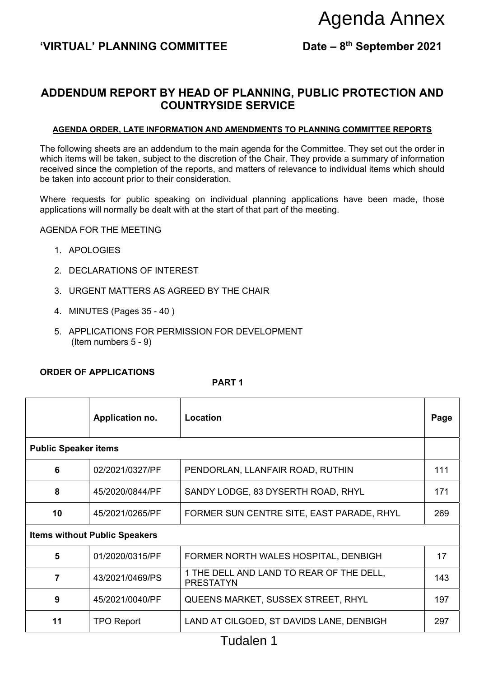### 'VIRTUAL' PLANNING COMMITTEE Date – 8<sup>th</sup> September 2021

## **ADDENDUM REPORT BY HEAD OF PLANNING, PUBLIC PROTECTION AND COUNTRYSIDE SERVICE**

#### **AGENDA ORDER, LATE INFORMATION AND AMENDMENTS TO PLANNING COMMITTEE REPORTS**

#### AGENDA FOR THE MEETING

- 1. APOLOGIES
- 2. DECLARATIONS OF INTEREST
- 3. URGENT MATTERS AS AGREED BY THE CHAIR
- 4. MINUTES (Pages 35 40 )
- 5. APPLICATIONS FOR PERMISSION FOR DEVELOPMENT (Item numbers 5 - 9)

#### **ORDER OF APPLICATIONS**

#### **PART 1**

|                                                                                                                                                                                                                                                                                                                                                                                    |                              |                                                              | Agenda Annex              |      |
|------------------------------------------------------------------------------------------------------------------------------------------------------------------------------------------------------------------------------------------------------------------------------------------------------------------------------------------------------------------------------------|------------------------------|--------------------------------------------------------------|---------------------------|------|
|                                                                                                                                                                                                                                                                                                                                                                                    | 'VIRTUAL' PLANNING COMMITTEE |                                                              | Date - 8th September 2021 |      |
|                                                                                                                                                                                                                                                                                                                                                                                    |                              |                                                              |                           |      |
| ADDENDUM REPORT BY HEAD OF PLANNING, PUBLIC PROTECTION AND<br><b>COUNTRYSIDE SERVICE</b>                                                                                                                                                                                                                                                                                           |                              |                                                              |                           |      |
| <b>AGENDA ORDER, LATE INFORMATION AND AMENDMENTS TO PLANNING COMMITTEE REPORTS</b>                                                                                                                                                                                                                                                                                                 |                              |                                                              |                           |      |
| The following sheets are an addendum to the main agenda for the Committee. They set out the order in<br>which items will be taken, subject to the discretion of the Chair. They provide a summary of information<br>received since the completion of the reports, and matters of relevance to individual items which should<br>be taken into account prior to their consideration. |                              |                                                              |                           |      |
| Where requests for public speaking on individual planning applications have been made, those<br>applications will normally be dealt with at the start of that part of the meeting.                                                                                                                                                                                                 |                              |                                                              |                           |      |
| <b>AGENDA FOR THE MEETING</b>                                                                                                                                                                                                                                                                                                                                                      |                              |                                                              |                           |      |
| 1. APOLOGIES                                                                                                                                                                                                                                                                                                                                                                       |                              |                                                              |                           |      |
| 2. DECLARATIONS OF INTEREST                                                                                                                                                                                                                                                                                                                                                        |                              |                                                              |                           |      |
| 3. URGENT MATTERS AS AGREED BY THE CHAIR                                                                                                                                                                                                                                                                                                                                           |                              |                                                              |                           |      |
| 4. MINUTES (Pages 35 - 40)                                                                                                                                                                                                                                                                                                                                                         |                              |                                                              |                           |      |
| 5. APPLICATIONS FOR PERMISSION FOR DEVELOPMENT<br>(Item numbers $5 - 9$ )                                                                                                                                                                                                                                                                                                          |                              |                                                              |                           |      |
|                                                                                                                                                                                                                                                                                                                                                                                    |                              |                                                              |                           |      |
| <b>ORDER OF APPLICATIONS</b><br>PART <sub>1</sub>                                                                                                                                                                                                                                                                                                                                  |                              |                                                              |                           |      |
|                                                                                                                                                                                                                                                                                                                                                                                    | Application no.              | Location                                                     |                           | Page |
| <b>Public Speaker items</b>                                                                                                                                                                                                                                                                                                                                                        |                              |                                                              |                           |      |
| 6                                                                                                                                                                                                                                                                                                                                                                                  | 02/2021/0327/PF              | PENDORLAN, LLANFAIR ROAD, RUTHIN                             |                           | 111  |
| 8                                                                                                                                                                                                                                                                                                                                                                                  | 45/2020/0844/PF              | SANDY LODGE, 83 DYSERTH ROAD, RHYL                           |                           | 171  |
| 10                                                                                                                                                                                                                                                                                                                                                                                 | 45/2021/0265/PF              | FORMER SUN CENTRE SITE, EAST PARADE, RHYL                    |                           | 269  |
| <b>Items without Public Speakers</b>                                                                                                                                                                                                                                                                                                                                               |                              |                                                              |                           |      |
| 5                                                                                                                                                                                                                                                                                                                                                                                  | 01/2020/0315/PF              | FORMER NORTH WALES HOSPITAL, DENBIGH                         |                           | 17   |
| $\overline{7}$                                                                                                                                                                                                                                                                                                                                                                     | 43/2021/0469/PS              | 1 THE DELL AND LAND TO REAR OF THE DELL,<br><b>PRESTATYN</b> |                           | 143  |
| 9                                                                                                                                                                                                                                                                                                                                                                                  | 45/2021/0040/PF              | QUEENS MARKET, SUSSEX STREET, RHYL                           |                           | 197  |
| 11                                                                                                                                                                                                                                                                                                                                                                                 | <b>TPO Report</b>            | LAND AT CILGOED, ST DAVIDS LANE, DENBIGH                     |                           | 297  |
| Tudalen 1                                                                                                                                                                                                                                                                                                                                                                          |                              |                                                              |                           |      |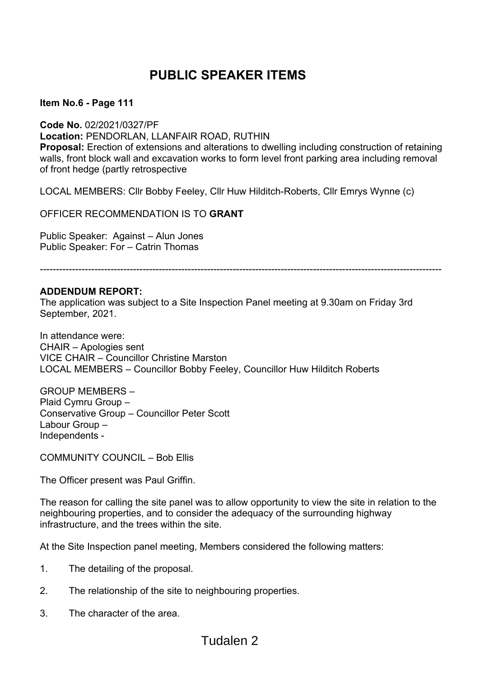# **PUBLIC SPEAKER ITEMS**

 **Item No.6 - Page 111** 

**Code No.** 02/2021/0327/PF **Location:** PENDORLAN, LLANFAIR ROAD, RUTHIN **Proposal:** Erection of extensions and alterations to dwelling including construction of retaining walls, front block wall and excavation works to form level front parking area including removal of front hedge (partly retrospective

LOCAL MEMBERS: Cllr Bobby Feeley, Cllr Huw Hilditch-Roberts, Cllr Emrys Wynne (c)

OFFICER RECOMMENDATION IS TO **GRANT** 

Public Speaker: Against – Alun Jones Public Speaker: For – Catrin Thomas

-----------------------------------------------------------------------------------------------------------------------------

#### **ADDENDUM REPORT:**

The application was subject to a Site Inspection Panel meeting at 9.30am on Friday 3rd September, 2021.

In attendance were: CHAIR – Apologies sent VICE CHAIR – Councillor Christine Marston LOCAL MEMBERS – Councillor Bobby Feeley, Councillor Huw Hilditch Roberts

GROUP MEMBERS – Plaid Cymru Group – Conservative Group – Councillor Peter Scott Labour Group – Independents -

COMMUNITY COUNCIL – Bob Ellis

The Officer present was Paul Griffin.

The reason for calling the site panel was to allow opportunity to view the site in relation to the neighbouring properties, and to consider the adequacy of the surrounding highway infrastructure, and the trees within the site.

At the Site Inspection panel meeting, Members considered the following matters:

- 1. The detailing of the proposal.
- 2. The relationship of the site to neighbouring properties.
- 3. The character of the area.

# Tudalen 2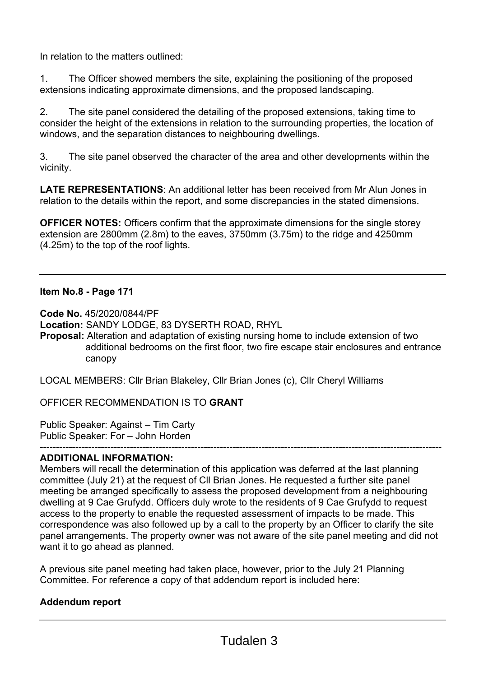In relation to the matters outlined:

1. The Officer showed members the site, explaining the positioning of the proposed extensions indicating approximate dimensions, and the proposed landscaping.

2. The site panel considered the detailing of the proposed extensions, taking time to consider the height of the extensions in relation to the surrounding properties, the location of windows, and the separation distances to neighbouring dwellings.

3. The site panel observed the character of the area and other developments within the vicinity.

**LATE REPRESENTATIONS**: An additional letter has been received from Mr Alun Jones in relation to the details within the report, and some discrepancies in the stated dimensions.

**OFFICER NOTES:** Officers confirm that the approximate dimensions for the single storey extension are 2800mm (2.8m) to the eaves, 3750mm (3.75m) to the ridge and 4250mm (4.25m) to the top of the roof lights.

### **Item No.8 - Page 171**

**Code No.** 45/2020/0844/PF

**Location:** SANDY LODGE, 83 DYSERTH ROAD, RHYL

**Proposal:** Alteration and adaptation of existing nursing home to include extension of two additional bedrooms on the first floor, two fire escape stair enclosures and entrance canopy

LOCAL MEMBERS: Cllr Brian Blakeley, Cllr Brian Jones (c), Cllr Cheryl Williams

OFFICER RECOMMENDATION IS TO **GRANT** 

Public Speaker: Against – Tim Carty Public Speaker: For – John Horden

#### ----------------------------------------------------------------------------------------------------------------------------- **ADDITIONAL INFORMATION:**

Members will recall the determination of this application was deferred at the last planning committee (July 21) at the request of Cll Brian Jones. He requested a further site panel meeting be arranged specifically to assess the proposed development from a neighbouring dwelling at 9 Cae Grufydd. Officers duly wrote to the residents of 9 Cae Grufydd to request access to the property to enable the requested assessment of impacts to be made. This correspondence was also followed up by a call to the property by an Officer to clarify the site panel arrangements. The property owner was not aware of the site panel meeting and did not want it to go ahead as planned.

A previous site panel meeting had taken place, however, prior to the July 21 Planning Committee. For reference a copy of that addendum report is included here:

### **Addendum report**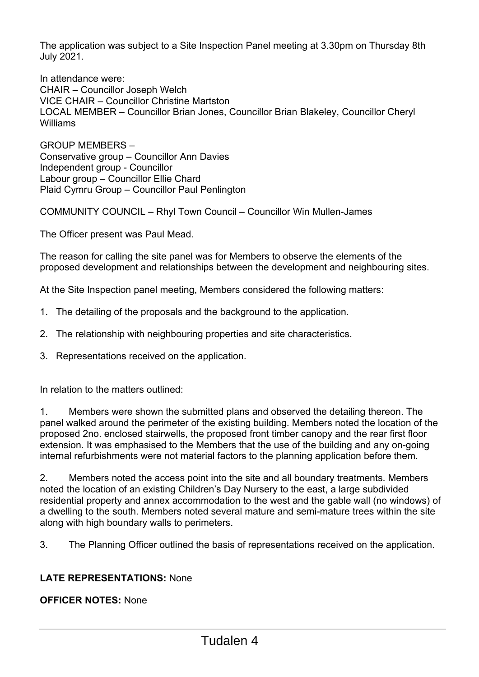The application was subject to a Site Inspection Panel meeting at 3.30pm on Thursday 8th July 2021.

In attendance were: CHAIR – Councillor Joseph Welch VICE CHAIR – Councillor Christine Martston LOCAL MEMBER – Councillor Brian Jones, Councillor Brian Blakeley, Councillor Cheryl Williams

GROUP MEMBERS – Conservative group – Councillor Ann Davies Independent group - Councillor Labour group – Councillor Ellie Chard Plaid Cymru Group – Councillor Paul Penlington

COMMUNITY COUNCIL – Rhyl Town Council – Councillor Win Mullen-James

The Officer present was Paul Mead.

The reason for calling the site panel was for Members to observe the elements of the proposed development and relationships between the development and neighbouring sites.

At the Site Inspection panel meeting, Members considered the following matters:

- 1. The detailing of the proposals and the background to the application.
- 2. The relationship with neighbouring properties and site characteristics.
- 3. Representations received on the application.

In relation to the matters outlined:

1. Members were shown the submitted plans and observed the detailing thereon. The panel walked around the perimeter of the existing building. Members noted the location of the proposed 2no. enclosed stairwells, the proposed front timber canopy and the rear first floor extension. It was emphasised to the Members that the use of the building and any on-going internal refurbishments were not material factors to the planning application before them.

2. Members noted the access point into the site and all boundary treatments. Members noted the location of an existing Children's Day Nursery to the east, a large subdivided residential property and annex accommodation to the west and the gable wall (no windows) of a dwelling to the south. Members noted several mature and semi-mature trees within the site along with high boundary walls to perimeters.

3. The Planning Officer outlined the basis of representations received on the application.

### **LATE REPRESENTATIONS:** None

**OFFICER NOTES:** None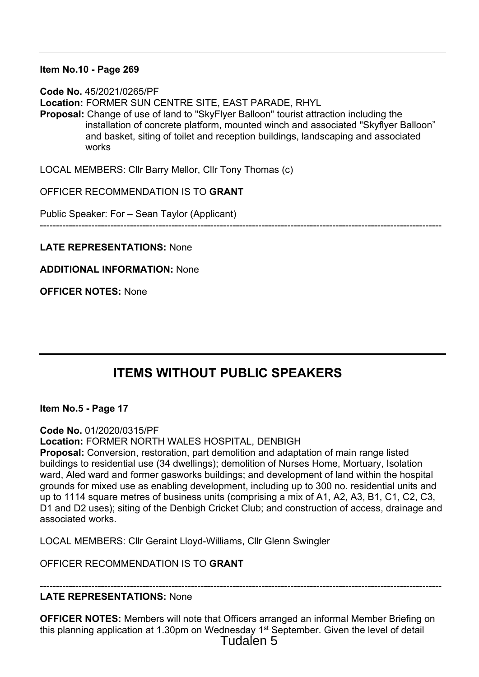### **Item No.10 - Page 269**

**Code No.** 45/2021/0265/PF **Location:** FORMER SUN CENTRE SITE, EAST PARADE, RHYL **Proposal:** Change of use of land to "SkyFlyer Balloon" tourist attraction including the installation of concrete platform, mounted winch and associated "Skyflyer Balloon" and basket, siting of toilet and reception buildings, landscaping and associated works

LOCAL MEMBERS: Cllr Barry Mellor, Cllr Tony Thomas (c)

OFFICER RECOMMENDATION IS TO **GRANT** 

Public Speaker: For – Sean Taylor (Applicant)

-----------------------------------------------------------------------------------------------------------------------------

**LATE REPRESENTATIONS:** None

**ADDITIONAL INFORMATION:** None

**OFFICER NOTES:** None

# **ITEMS WITHOUT PUBLIC SPEAKERS**

**Item No.5 - Page 17** 

**Code No.** 01/2020/0315/PF

**Location:** FORMER NORTH WALES HOSPITAL, DENBIGH

**Proposal:** Conversion, restoration, part demolition and adaptation of main range listed buildings to residential use (34 dwellings); demolition of Nurses Home, Mortuary, Isolation ward, Aled ward and former gasworks buildings; and development of land within the hospital grounds for mixed use as enabling development, including up to 300 no. residential units and up to 1114 square metres of business units (comprising a mix of A1, A2, A3, B1, C1, C2, C3, D1 and D2 uses); siting of the Denbigh Cricket Club; and construction of access, drainage and associated works.

LOCAL MEMBERS: Cllr Geraint Lloyd-Williams, Cllr Glenn Swingler

OFFICER RECOMMENDATION IS TO **GRANT** 

### **LATE REPRESENTATIONS:** None

**OFFICER NOTES:** Members will note that Officers arranged an informal Member Briefing on this planning application at 1.30pm on Wednesday 1<sup>st</sup> September. Given the level of detail Tudalen 5

-----------------------------------------------------------------------------------------------------------------------------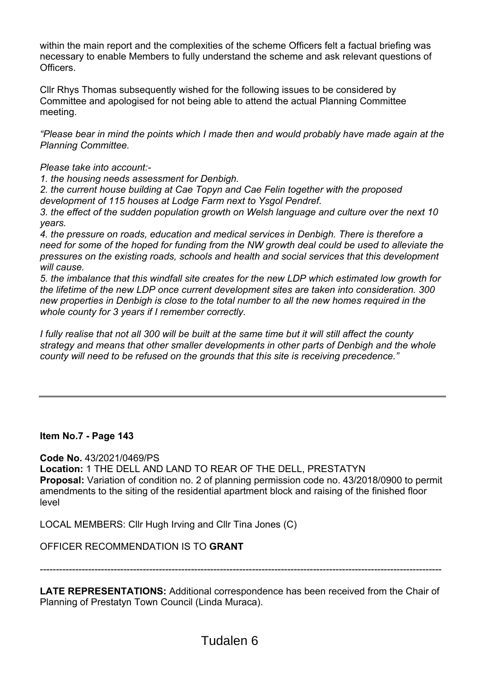within the main report and the complexities of the scheme Officers felt a factual briefing was necessary to enable Members to fully understand the scheme and ask relevant questions of **Officers** 

Cllr Rhys Thomas subsequently wished for the following issues to be considered by Committee and apologised for not being able to attend the actual Planning Committee meeting.

*"Please bear in mind the points which I made then and would probably have made again at the Planning Committee.* 

*Please take into account:-* 

*1. the housing needs assessment for Denbigh.* 

*2. the current house building at Cae Topyn and Cae Felin together with the proposed development of 115 houses at Lodge Farm next to Ysgol Pendref.* 

*3. the effect of the sudden population growth on Welsh language and culture over the next 10 years.* 

*4. the pressure on roads, education and medical services in Denbigh. There is therefore a need for some of the hoped for funding from the NW growth deal could be used to alleviate the pressures on the existing roads, schools and health and social services that this development will cause.* 

*5. the imbalance that this windfall site creates for the new LDP which estimated low growth for the lifetime of the new LDP once current development sites are taken into consideration. 300 new properties in Denbigh is close to the total number to all the new homes required in the whole county for 3 years if I remember correctly.* 

*I fully realise that not all 300 will be built at the same time but it will still affect the county strategy and means that other smaller developments in other parts of Denbigh and the whole county will need to be refused on the grounds that this site is receiving precedence."* 

### **Item No.7 - Page 143**

**Code No.** 43/2021/0469/PS

**Location:** 1 THE DELL AND LAND TO REAR OF THE DELL, PRESTATYN **Proposal:** Variation of condition no. 2 of planning permission code no. 43/2018/0900 to permit amendments to the siting of the residential apartment block and raising of the finished floor level

LOCAL MEMBERS: Cllr Hugh Irving and Cllr Tina Jones (C)

OFFICER RECOMMENDATION IS TO **GRANT** 

-----------------------------------------------------------------------------------------------------------------------------

**LATE REPRESENTATIONS:** Additional correspondence has been received from the Chair of Planning of Prestatyn Town Council (Linda Muraca).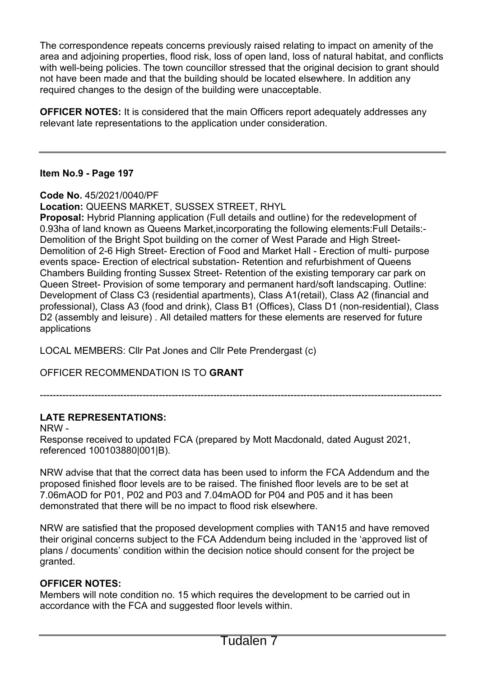The correspondence repeats concerns previously raised relating to impact on amenity of the area and adjoining properties, flood risk, loss of open land, loss of natural habitat, and conflicts with well-being policies. The town councillor stressed that the original decision to grant should not have been made and that the building should be located elsewhere. In addition any required changes to the design of the building were unacceptable.

**OFFICER NOTES:** It is considered that the main Officers report adequately addresses any relevant late representations to the application under consideration.

### **Item No.9 - Page 197**

**Code No.** 45/2021/0040/PF

**Location:** QUEENS MARKET, SUSSEX STREET, RHYL

**Proposal:** Hybrid Planning application (Full details and outline) for the redevelopment of 0.93ha of land known as Queens Market,incorporating the following elements:Full Details:- Demolition of the Bright Spot building on the corner of West Parade and High Street-Demolition of 2-6 High Street- Erection of Food and Market Hall - Erection of multi- purpose events space- Erection of electrical substation- Retention and refurbishment of Queens Chambers Building fronting Sussex Street- Retention of the existing temporary car park on Queen Street- Provision of some temporary and permanent hard/soft landscaping. Outline: Development of Class C3 (residential apartments), Class A1(retail), Class A2 (financial and professional), Class A3 (food and drink), Class B1 (Offices), Class D1 (non-residential), Class D2 (assembly and leisure) . All detailed matters for these elements are reserved for future applications

LOCAL MEMBERS: Cllr Pat Jones and Cllr Pete Prendergast (c)

OFFICER RECOMMENDATION IS TO **GRANT** 

-----------------------------------------------------------------------------------------------------------------------------

### **LATE REPRESENTATIONS:**

NRW - Response received to updated FCA (prepared by Mott Macdonald, dated August 2021, referenced 100103880|001|B).

NRW advise that that the correct data has been used to inform the FCA Addendum and the proposed finished floor levels are to be raised. The finished floor levels are to be set at 7.06mAOD for P01, P02 and P03 and 7.04mAOD for P04 and P05 and it has been demonstrated that there will be no impact to flood risk elsewhere.

NRW are satisfied that the proposed development complies with TAN15 and have removed their original concerns subject to the FCA Addendum being included in the 'approved list of plans / documents' condition within the decision notice should consent for the project be granted.

### **OFFICER NOTES:**

Members will note condition no. 15 which requires the development to be carried out in accordance with the FCA and suggested floor levels within.